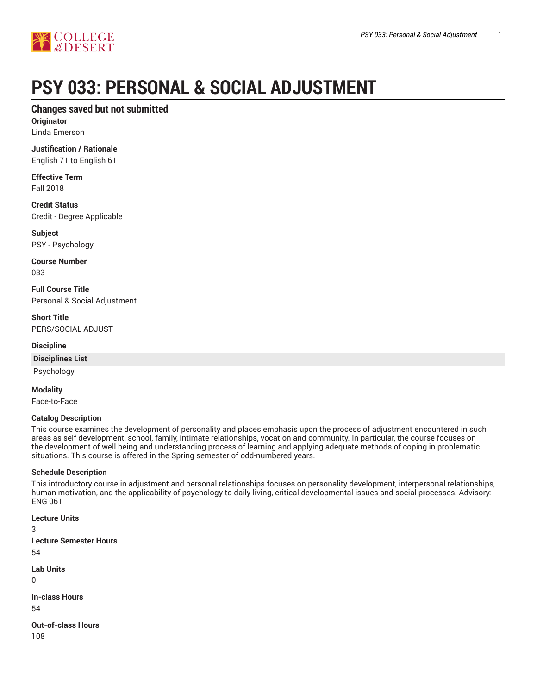

# **PSY 033: PERSONAL & SOCIAL ADJUSTMENT**

# **Changes saved but not submitted**

**Originator** Linda Emerson

**Justification / Rationale**

English 71 to English 61

**Effective Term** Fall 2018

**Credit Status** Credit - Degree Applicable

**Subject** PSY - Psychology

**Course Number** 033

**Full Course Title** Personal & Social Adjustment

**Short Title** PERS/SOCIAL ADJUST

**Discipline**

**Disciplines List**

Psychology

**Modality**

Face-to-Face

#### **Catalog Description**

This course examines the development of personality and places emphasis upon the process of adjustment encountered in such areas as self development, school, family, intimate relationships, vocation and community. In particular, the course focuses on the development of well being and understanding process of learning and applying adequate methods of coping in problematic situations. This course is offered in the Spring semester of odd-numbered years.

#### **Schedule Description**

This introductory course in adjustment and personal relationships focuses on personality development, interpersonal relationships, human motivation, and the applicability of psychology to daily living, critical developmental issues and social processes. Advisory: ENG 061

**Lecture Units**

3 **Lecture Semester Hours** 54

**Lab Units**

 $\Omega$ 

**In-class Hours** 54

**Out-of-class Hours** 108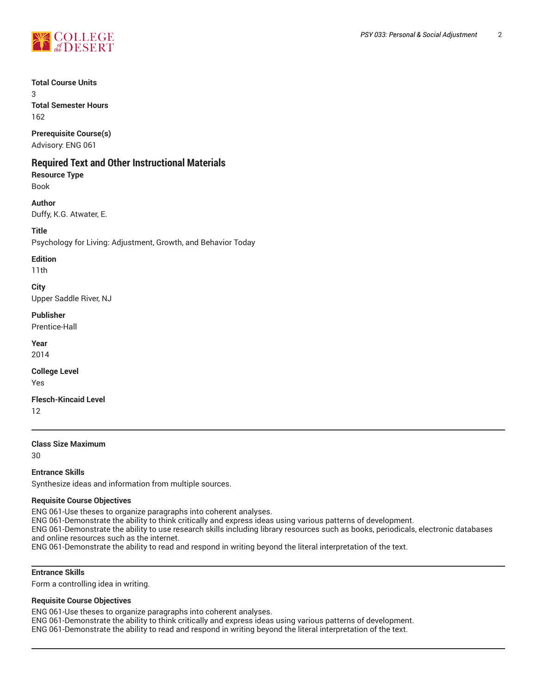

#### **Total Course Units**

3 **Total Semester Hours**

162

**Prerequisite Course(s)** Advisory: ENG 061

# **Required Text and Other Instructional Materials**

**Resource Type** Book

#### **Author**

Duffy, K.G. Atwater, E.

#### **Title**

Psychology for Living: Adjustment, Growth, and Behavior Today

#### **Edition**

11th

### **City**

Upper Saddle River, NJ

#### **Publisher**

Prentice-Hall

**Year**

2014

# **College Level**

Yes

#### **Flesch-Kincaid Level**

12

#### **Class Size Maximum**

30

#### **Entrance Skills**

Synthesize ideas and information from multiple sources.

#### **Requisite Course Objectives**

ENG 061-Use theses to organize paragraphs into coherent analyses.

ENG 061-Demonstrate the ability to think critically and express ideas using various patterns of development.

ENG 061-Demonstrate the ability to use research skills including library resources such as books, periodicals, electronic databases and online resources such as the internet.

ENG 061-Demonstrate the ability to read and respond in writing beyond the literal interpretation of the text.

#### **Entrance Skills**

Form a controlling idea in writing.

#### **Requisite Course Objectives**

ENG 061-Use theses to organize paragraphs into coherent analyses. ENG 061-Demonstrate the ability to think critically and express ideas using various patterns of development. ENG 061-Demonstrate the ability to read and respond in writing beyond the literal interpretation of the text.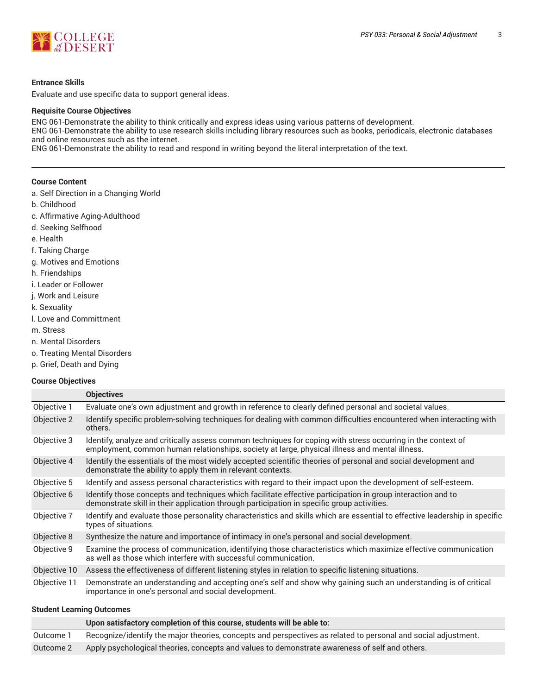

#### **Entrance Skills**

Evaluate and use specific data to support general ideas.

#### **Requisite Course Objectives**

ENG 061-Demonstrate the ability to think critically and express ideas using various patterns of development. ENG 061-Demonstrate the ability to use research skills including library resources such as books, periodicals, electronic databases and online resources such as the internet. ENG 061-Demonstrate the ability to read and respond in writing beyond the literal interpretation of the text.

#### **Course Content**

- a. Self Direction in a Changing World
- b. Childhood
- c. Affirmative Aging-Adulthood
- d. Seeking Selfhood
- e. Health
- f. Taking Charge
- g. Motives and Emotions
- h. Friendships
- i. Leader or Follower
- j. Work and Leisure
- k. Sexuality
- l. Love and Committment
- m. Stress
- n. Mental Disorders
- o. Treating Mental Disorders
- p. Grief, Death and Dying

#### **Course Objectives**

|              | <b>Objectives</b>                                                                                                                                                                                              |
|--------------|----------------------------------------------------------------------------------------------------------------------------------------------------------------------------------------------------------------|
| Objective 1  | Evaluate one's own adjustment and growth in reference to clearly defined personal and societal values.                                                                                                         |
| Objective 2  | Identify specific problem-solving techniques for dealing with common difficulties encountered when interacting with<br>others.                                                                                 |
| Objective 3  | Identify, analyze and critically assess common techniques for coping with stress occurring in the context of<br>employment, common human relationships, society at large, physical illness and mental illness. |
| Objective 4  | Identify the essentials of the most widely accepted scientific theories of personal and social development and<br>demonstrate the ability to apply them in relevant contexts.                                  |
| Objective 5  | Identify and assess personal characteristics with regard to their impact upon the development of self-esteem.                                                                                                  |
| Objective 6  | Identify those concepts and techniques which facilitate effective participation in group interaction and to<br>demonstrate skill in their application through participation in specific group activities.      |
| Objective 7  | Identify and evaluate those personality characteristics and skills which are essential to effective leadership in specific<br>types of situations.                                                             |
| Objective 8  | Synthesize the nature and importance of intimacy in one's personal and social development.                                                                                                                     |
| Objective 9  | Examine the process of communication, identifying those characteristics which maximize effective communication<br>as well as those which interfere with successful communication.                              |
| Objective 10 | Assess the effectiveness of different listening styles in relation to specific listening situations.                                                                                                           |
| Objective 11 | Demonstrate an understanding and accepting one's self and show why gaining such an understanding is of critical<br>importance in one's personal and social development.                                        |

#### **Student Learning Outcomes**

|           | Upon satisfactory completion of this course, students will be able to:                                         |
|-----------|----------------------------------------------------------------------------------------------------------------|
| Outcome 1 | Recognize/identify the major theories, concepts and perspectives as related to personal and social adjustment. |
| Outcome 2 | Apply psychological theories, concepts and values to demonstrate awareness of self and others.                 |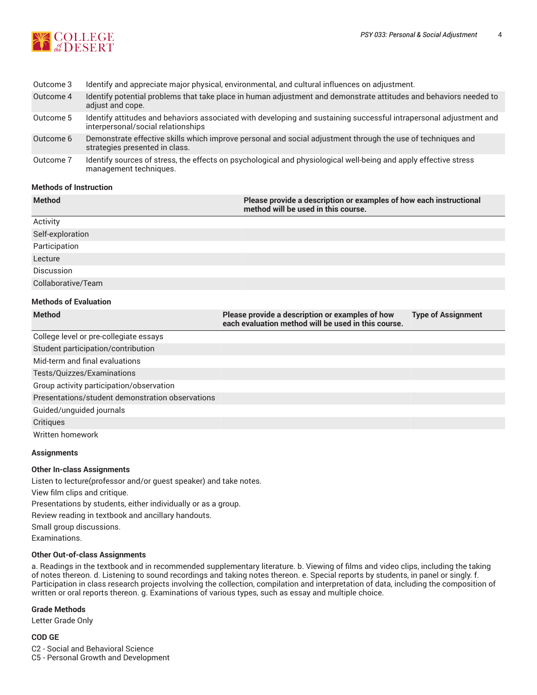

| Outcome 3 | Identify and appreciate major physical, environmental, and cultural influences on adjustment.                                                            |
|-----------|----------------------------------------------------------------------------------------------------------------------------------------------------------|
| Outcome 4 | Identify potential problems that take place in human adjustment and demonstrate attitudes and behaviors needed to<br>adjust and cope.                    |
| Outcome 5 | Identify attitudes and behaviors associated with developing and sustaining successful intrapersonal adjustment and<br>interpersonal/social relationships |
| Outcome 6 | Demonstrate effective skills which improve personal and social adjustment through the use of techniques and<br>strategies presented in class.            |
| Outcome 7 | Identify sources of stress, the effects on psychological and physiological well-being and apply effective stress<br>management techniques.               |

#### **Methods of Instruction**

| <b>Method</b>                | Please provide a description or examples of how each instructional<br>method will be used in this course. |
|------------------------------|-----------------------------------------------------------------------------------------------------------|
| Activity                     |                                                                                                           |
| Self-exploration             |                                                                                                           |
| Participation                |                                                                                                           |
| Lecture                      |                                                                                                           |
| Discussion                   |                                                                                                           |
| Collaborative/Team           |                                                                                                           |
| <b>Methods of Evaluation</b> |                                                                                                           |

| <b>Method</b>                                    | Please provide a description or examples of how<br>each evaluation method will be used in this course. | <b>Type of Assignment</b> |
|--------------------------------------------------|--------------------------------------------------------------------------------------------------------|---------------------------|
| College level or pre-collegiate essays           |                                                                                                        |                           |
| Student participation/contribution               |                                                                                                        |                           |
| Mid-term and final evaluations                   |                                                                                                        |                           |
| Tests/Quizzes/Examinations                       |                                                                                                        |                           |
| Group activity participation/observation         |                                                                                                        |                           |
| Presentations/student demonstration observations |                                                                                                        |                           |
| Guided/unguided journals                         |                                                                                                        |                           |
| Critiques                                        |                                                                                                        |                           |
| Written homework                                 |                                                                                                        |                           |

#### **Assignments**

#### **Other In-class Assignments**

Listen to lecture(professor and/or guest speaker) and take notes.

View film clips and critique.

Presentations by students, either individually or as a group.

Review reading in textbook and ancillary handouts.

Small group discussions.

Examinations.

#### **Other Out-of-class Assignments**

a. Readings in the textbook and in recommended supplementary literature. b. Viewing of films and video clips, including the taking of notes thereon. d. Listening to sound recordings and taking notes thereon. e. Special reports by students, in panel or singly. f. Participation in class research projects involving the collection, compilation and interpretation of data, including the composition of written or oral reports thereon. g. Examinations of various types, such as essay and multiple choice.

#### **Grade Methods**

Letter Grade Only

#### **COD GE**

C2 - Social and Behavioral Science

C5 - Personal Growth and Development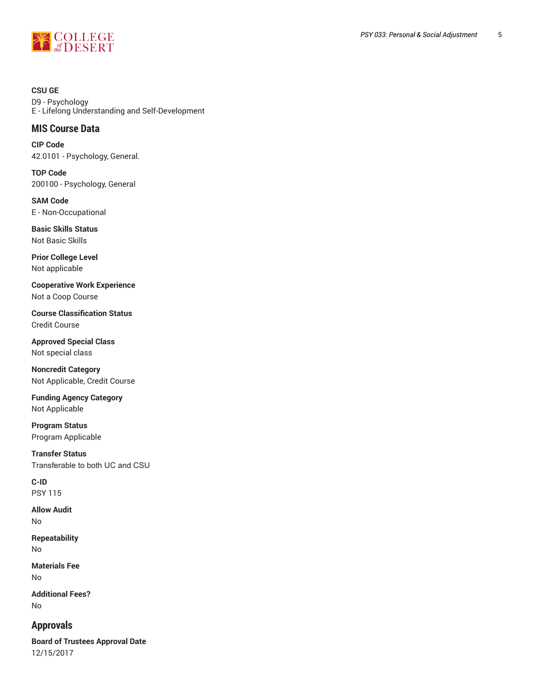

**CSU GE** D9 - Psychology E - Lifelong Understanding and Self-Development

## **MIS Course Data**

**CIP Code** 42.0101 - Psychology, General.

**TOP Code** 200100 - Psychology, General

**SAM Code** E - Non-Occupational

**Basic Skills Status** Not Basic Skills

**Prior College Level** Not applicable

**Cooperative Work Experience** Not a Coop Course

**Course Classification Status** Credit Course

**Approved Special Class** Not special class

**Noncredit Category** Not Applicable, Credit Course

**Funding Agency Category** Not Applicable

**Program Status** Program Applicable

**Transfer Status** Transferable to both UC and CSU

**C-ID** PSY 115

**Allow Audit** No

**Repeatability** No

**Materials Fee** No

**Additional Fees?** No

# **Approvals**

**Board of Trustees Approval Date** 12/15/2017